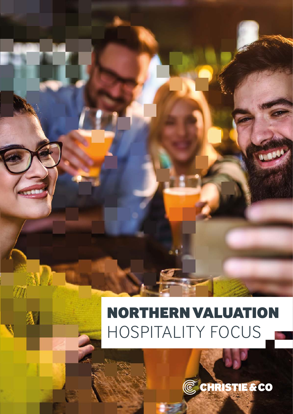# NORTHERN VALUATION HOSPITALITY FOCUS

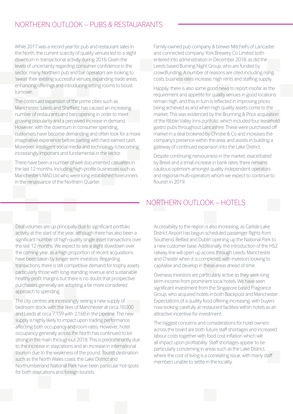# NORTHERN OUTLOOK – PUBS & RESTAUARANTS

While 2017 was a record year for pub and restaurant sales in the North, the current scarcity of quality venues led to a slight downturn in transactional activity during 2018. Given the levels of uncertainty regarding consumer confidence in the sector, many Northern pub and bar operators are looking to 'sweat' their existing successful venues, expanding trade areas, enhancing offerings and introducing letting rooms to boost turnover.

The continued expansion of the prime cities such as Manchester, Leeds and Sheffield, has caused an increasing number of restaurants and bars opening in order to meet growing popularity and a perceived increase in demand. However, with the downturn in consumer spending, customers have become demanding and often look for a more imaginative experience before parting with hard earned cash. Moreover, intelligent social media and technology is becoming increasingly important and fundamental in the sector.

There have been a number of well documented casualties in the last 12 months. Including high-profile businesses such as Manchester's MAD Ltd who were long established forerunners in the renaissance of the Northern Quarter.

Family-owned pub company & brewer Mitchell's of Lancaster and connected company York Brewery Co Limited both entered into administration in December 2018, as did the Leeds based Burning Night Group, who are funded by crowdfunding. A number of reasons are cited including rising costs, business rates increase, high rents and staffing supply.

Happily, there is also some good news to report insofar as the requirement and appetite for quality venues in good locations remain high, and this in turn is reflected in improving prices being achieved as and when high quality assets come to the market. This was evidenced by the Brunning & Price acquisition of the Ribble Valley Inns portfolio, which included four leasehold gastro pubs throughout Lancashire. These were purchased off market in a deal brokered by Christie & Co and increases the company's presence within the area, and assists in building a gateway of continued expansion into the Lake District.

Despite continuing nervousness in the market, exacerbated by Brexit and a small increase in bank rates, there remains cautious optimism amongst quality independent operators and regional multi-operators whom we expect to continue to flourish in 2019.

# NORTHERN OUTLOOK - HOTELS

Deal volumes are up principally due to significant portfolio activity at the start of the year, although there has also been a significant number of high-quality single asset transactions over the last 12 months. We expect to see a slight slowdown over the coming year, as a high proportion of recent acquisitions have been taken by longer term investors. Regarding transactions, there is still competitive demand for trophy assets particularly those with long-standing revenue and sustainable healthy profit margins but there is no doubt that prospective purchasers generally are adopting a far more considered approach to spending.

The city centres are increasingly seeing a new supply of bedroom stock, with the likes of Manchester at circa 18,000 and Leeds at circa 7,159 with 3,168 in the pipeline. The new supply is highly likely to impact upon trading performance affecting both occupancy and room rates. However, hotel occupancy generally across the North has continued to be strong in the main throughout 2018. This is predominantly due to the increase in staycations and an increase in international tourism due to the weakness of the pound. Tourist destination such as the North Wales coast, the Lake District and Northumberland National Park have been particular hot-spots for both staycations and foreign tourists.

Accessibility to the region is also increasing, as Carlisle Lake District Airport has begun scheduled passenger flights from Southend, Belfast and Dublin opening up the National Park to a new customer base. Additionally, the introduction of the HS2 railway line will open up access through Leeds, Manchester and Chester when it is completed, with investors looking to capitalise and develop in these areas ahead of time.

Overseas investors are particularly active as they seek long term income from prominent local hotels. We have seen significant investment from the Singapore based Fragrance Group, who acquired hotels in both Blackpool and Manchester. Expectations of a quality food offering increasing, with buyers now looking carefully at restaurant facilities within hotels as an attractive incentive for investment.

The biggest concerns and considerations for hotel owners across the board are both future staff shortages and increased labour costs together with food cost inflation which will all impact upon profitability. Staff shortages appear to be particularly concerning in areas such as the Lake District, where the cost of living is a correlating issue, with many staff members unable to settle in the locality.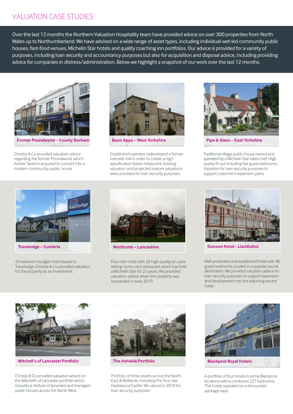# VALUATION CASE STUDIES

Over the last 12 months the Northern Valuation Hospitality team have provided advice on over 300 properties from North Wales up to Northumberland. We have advised on a wide range of asset types, including individual wet-led community public houses, fast-food venues, Michelin Star hotels and quality coaching inn portfolios. Our advice is provided for a variety of purposes, including loan security and accountancy purposes but also for acquisition and disposal advice, including providing advice for companies in distress/administration. Below we highlight a snapshot of our work over the last 12 months.



**Former Poundworld – County Durham Buon Apps – West Yorkshire Pipe & Glass – East Yorkshire** 

Christie & Co provided valuation advice regarding the former Poundworld, which Amber Taverns acquired to convert into a modern community public house.



Established operator redeveloped a former riverside mill in order to create a high specification Italian restaurant. Existing valuation and projected mature valuations were provided for loan security purposes.



Traditional village public house owned and operated by a Michelin Star rated chef. High quality fit out including five guest bedrooms. Valuation for loan security purposes to support customer's expansion plans.



43-bedroom budget hotel leased to Travelodge. Christie & Co provided valuation for the property as an investment.



Four-star hotel with 26 high quality en suite letting rooms and restaurant which has held a Michelin Star for 23 years. We provided valuation advice when the property was transacted in early 2019.



**Dunoon Hotel - Llandudno** 

Well-presented and established hotel with 48 guest bedrooms, located in a popular tourist destination. We provided valuation advice for loan security purposes to support expansion and development into the adjoining vacant hotel.



**Mitchell's of Lancaster Portfolio The Ashdale Portfolio** 

Christie & Co provided valuation advice on the Mitchell's of Lancaster portfolio which includes a mixture of tenanted and managed public houses across the North West.



Portfolio of three assets across the North East & Midlands, including the four-star Hazelwood Castle. We valued in 2018 for loan security purposes.



**Blackpool Royal Hotels** 

A portfolio of four hotels in prime Blackpool locations with a combined 327 bedrooms. The hotels operated on a discounted package basis.